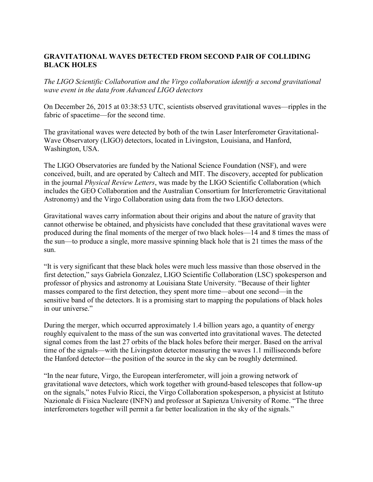## **GRAVITATIONAL WAVES DETECTED FROM SECOND PAIR OF COLLIDING BLACK HOLES**

*The LIGO Scientific Collaboration and the Virgo collaboration identify a second gravitational wave event in the data from Advanced LIGO detectors*

On December 26, 2015 at 03:38:53 UTC, scientists observed gravitational waves—ripples in the fabric of spacetime—for the second time.

The gravitational waves were detected by both of the twin Laser Interferometer Gravitational-Wave Observatory (LIGO) detectors, located in Livingston, Louisiana, and Hanford, Washington, USA.

The LIGO Observatories are funded by the National Science Foundation (NSF), and were conceived, built, and are operated by Caltech and MIT. The discovery, accepted for publication in the journal *Physical Review Letters*, was made by the LIGO Scientific Collaboration (which includes the GEO Collaboration and the Australian Consortium for Interferometric Gravitational Astronomy) and the Virgo Collaboration using data from the two LIGO detectors.

Gravitational waves carry information about their origins and about the nature of gravity that cannot otherwise be obtained, and physicists have concluded that these gravitational waves were produced during the final moments of the merger of two black holes—14 and 8 times the mass of the sun—to produce a single, more massive spinning black hole that is 21 times the mass of the sun.

"It is very significant that these black holes were much less massive than those observed in the first detection," says Gabriela Gonzalez, LIGO Scientific Collaboration (LSC) spokesperson and professor of physics and astronomy at Louisiana State University. "Because of their lighter masses compared to the first detection, they spent more time—about one second—in the sensitive band of the detectors. It is a promising start to mapping the populations of black holes in our universe."

During the merger, which occurred approximately 1.4 billion years ago, a quantity of energy roughly equivalent to the mass of the sun was converted into gravitational waves. The detected signal comes from the last 27 orbits of the black holes before their merger. Based on the arrival time of the signals—with the Livingston detector measuring the waves 1.1 milliseconds before the Hanford detector—the position of the source in the sky can be roughly determined.

"In the near future, Virgo, the European interferometer, will join a growing network of gravitational wave detectors, which work together with ground-based telescopes that follow-up on the signals," notes Fulvio Ricci, the Virgo Collaboration spokesperson, a physicist at Istituto Nazionale di Fisica Nucleare (INFN) and professor at Sapienza University of Rome. "The three interferometers together will permit a far better localization in the sky of the signals."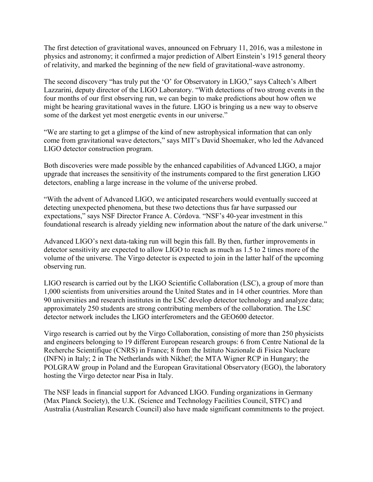The first detection of gravitational waves, announced on February 11, 2016, was a milestone in physics and astronomy; it confirmed a major prediction of Albert Einstein's 1915 general theory of relativity, and marked the beginning of the new field of gravitational-wave astronomy.

The second discovery "has truly put the 'O' for Observatory in LIGO," says Caltech's Albert Lazzarini, deputy director of the LIGO Laboratory. "With detections of two strong events in the four months of our first observing run, we can begin to make predictions about how often we might be hearing gravitational waves in the future. LIGO is bringing us a new way to observe some of the darkest yet most energetic events in our universe."

"We are starting to get a glimpse of the kind of new astrophysical information that can only come from gravitational wave detectors," says MIT's David Shoemaker, who led the Advanced LIGO detector construction program.

Both discoveries were made possible by the enhanced capabilities of Advanced LIGO, a major upgrade that increases the sensitivity of the instruments compared to the first generation LIGO detectors, enabling a large increase in the volume of the universe probed.

"With the advent of Advanced LIGO, we anticipated researchers would eventually succeed at detecting unexpected phenomena, but these two detections thus far have surpassed our expectations," says NSF Director France A. Córdova. "NSF's 40-year investment in this foundational research is already yielding new information about the nature of the dark universe."

Advanced LIGO's next data-taking run will begin this fall. By then, further improvements in detector sensitivity are expected to allow LIGO to reach as much as 1.5 to 2 times more of the volume of the universe. The Virgo detector is expected to join in the latter half of the upcoming observing run.

LIGO research is carried out by the LIGO Scientific Collaboration (LSC), a group of more than 1,000 scientists from universities around the United States and in 14 other countries. More than 90 universities and research institutes in the LSC develop detector technology and analyze data; approximately 250 students are strong contributing members of the collaboration. The LSC detector network includes the LIGO interferometers and the GEO600 detector.

Virgo research is carried out by the Virgo Collaboration, consisting of more than 250 physicists and engineers belonging to 19 different European research groups: 6 from Centre National de la Recherche Scientifique (CNRS) in France; 8 from the Istituto Nazionale di Fisica Nucleare (INFN) in Italy; 2 in The Netherlands with Nikhef; the MTA Wigner RCP in Hungary; the POLGRAW group in Poland and the European Gravitational Observatory (EGO), the laboratory hosting the Virgo detector near Pisa in Italy.

The NSF leads in financial support for Advanced LIGO. Funding organizations in Germany (Max Planck Society), the U.K. (Science and Technology Facilities Council, STFC) and Australia (Australian Research Council) also have made significant commitments to the project.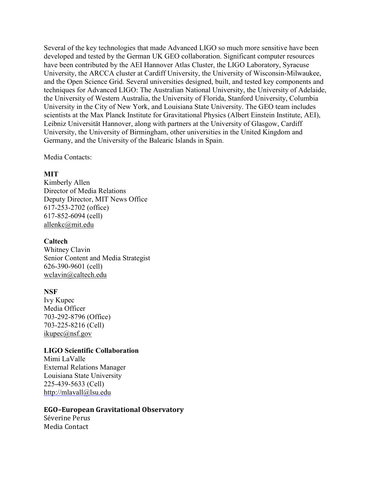Several of the key technologies that made Advanced LIGO so much more sensitive have been developed and tested by the German UK GEO collaboration. Significant computer resources have been contributed by the AEI Hannover Atlas Cluster, the LIGO Laboratory, Syracuse University, the ARCCA cluster at Cardiff University, the University of Wisconsin-Milwaukee, and the Open Science Grid. Several universities designed, built, and tested key components and techniques for Advanced LIGO: The Australian National University, the University of Adelaide, the University of Western Australia, the University of Florida, Stanford University, Columbia University in the City of New York, and Louisiana State University. The GEO team includes scientists at the Max Planck Institute for Gravitational Physics (Albert Einstein Institute, AEI), Leibniz Universität Hannover, along with partners at the University of Glasgow, Cardiff University, the University of Birmingham, other universities in the United Kingdom and Germany, and the University of the Balearic Islands in Spain.

Media Contacts:

## **MIT**

Kimberly Allen Director of Media Relations Deputy Director, MIT News Office 617-253-2702 (office) 617-852-6094 (cell) [allenkc@mit.edu](mailto:allenkc@mit.edu)

### **Caltech**

Whitney Clavin Senior Content and Media Strategist 626-390-9601 (cell) [wclavin@caltech.edu](mailto:wclavin@caltech.edu)

## **NSF**

Ivy Kupec Media Officer 703-292-8796 (Office) 703-225-8216 (Cell) [ikupec@nsf.gov](mailto:ikupec@nsf.gov)

### **LIGO Scientific Collaboration**

Mimi LaValle External Relations Manager Louisiana State University 225-439-5633 (Cell) [http://mlavall@lsu.edu](mailto:http://mlavall@lsu.edu)

### **EGO–European Gravitational Observatory**

Séverine Perus Media Contact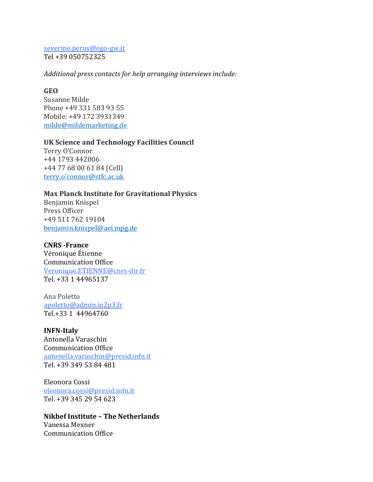[severine.perus@ego-gw.it](mailto:severine.perus@ego-gw.it) Tel +39 050752325

*Additional press contacts for help arranging interviews include:*

#### **GEO**

Susanne Milde Phone +49 331 583 93 55 Mobile: +49 172 3931349 [milde@mildemarketing.de](mailto:milde@mildemarketing.de)

**UK Science and Technology Facilities Council** Terry O'Connor +44 1793 442006 +44 77 68 00 61 84 (Cell) [terry.o'connor@stfc.ac.uk](mailto:terry.o)

#### **Max Planck Institute for Gravitational Physics**

Benjamin Knispel Press Officer +49 511 762 19104 [benjamin.knispel@aei.mpg.de](mailto:benjamin.knispel@aei.mpg.de)

#### **CNRS -France**

Véronique Étienne Communication Office [Veronique.ETIENNE@cnrs-dir.fr](mailto:Veronique.ETIENNE@cnrs-dir.fr) Tel. +33 1 44965137

Ana Poletto [apoletto@admin.in2p3.fr](mailto:apoletto@admin.in2p3.fr) Tel.+33 1 44964760

#### **INFN-Italy**

Antonella Varaschin Communication Office [antonella.varaschin@presid.infn.it](mailto:antonella.varaschin@presid.infn.it) Tel. +39 349 53 84 481

Eleonora Cossi [eleonora.cossi@presid.infn.it](mailto:eleonora.cossi@presid.infn.it) Tel. +39 345 29 54 623

**Nikhef Institute – The Netherlands** Vanessa Mexner Communication Office